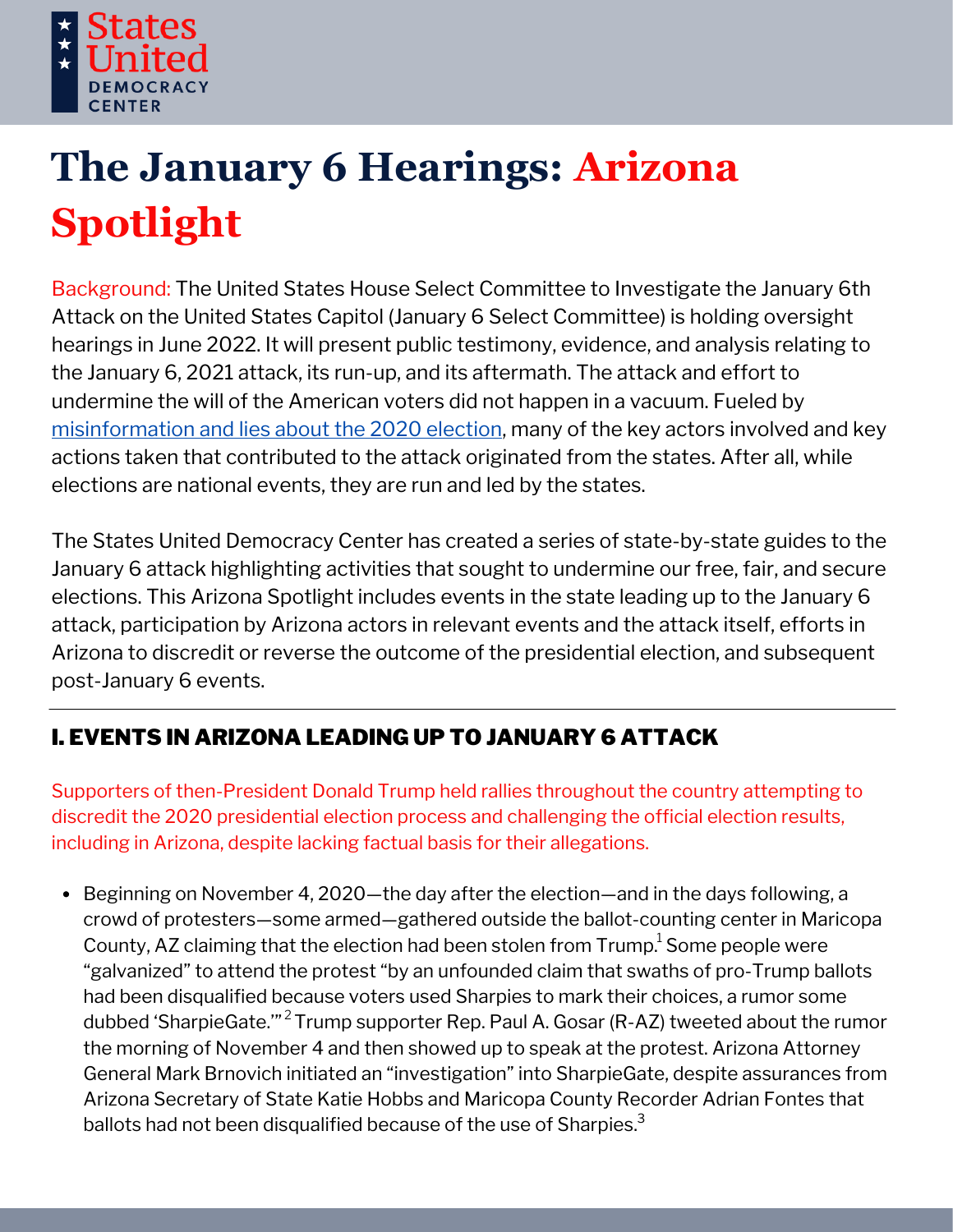

# **The January 6 Hearings: Arizona Spotlight**

Background: The United States House Select Committee to Investigate the January 6th Attack on the United States Capitol (January 6 Select Committee) is holding oversight hearings in June 2022. It will present public testimony, evidence, and analysis relating to the January 6, 2021 attack, its run-up, and its aftermath. The attack and effort to undermine the will of the American voters did not happen in a vacuum. Fueled by [misinformation](https://statesuniteddemocracy.org/wp-content/uploads/2021/01/000A-Myths-and-Facts-of-the-2020-Presidential-Election-20210113-FINAL.pdf) and lies about the 2020 election, many of the key actors involved and key actions taken that contributed to the attack originated from the states. After all, while elections are national events, they are run and led by the states.

The States United Democracy Center has created a series of state-by-state guides to the January 6 attack highlighting activities that sought to undermine our free, fair, and secure elections. This Arizona Spotlight includes events in the state leading up to the January 6 attack, participation by Arizona actors in relevant events and the attack itself, efforts in Arizona to discredit or reverse the outcome of the presidential election, and subsequent post-January 6 events.

## I. EVENTS IN ARIZONA LEADING UP TO JANUARY 6 ATTACK

Supporters of then-President Donald Trump held rallies throughout the country attempting to discredit the 2020 presidential election process and challenging the official election results, including in Arizona, despite lacking factual basis for their allegations.

• Beginning on November 4, 2020—the day after the election—and in the days following, a crowd of protesters—some armed—gathered outside the ballot-counting center in Maricopa County, AZ claiming that the election had been stolen from  $\mathsf{Trump}^1$  Some people were "galvanized" to attend the protest "by an unfounded claim that swaths of pro-Trump ballots had been disqualified because voters used Sharpies to mark their choices, a rumor some dubbed 'SharpieGate.'"<sup>2</sup> Trump supporter Rep. Paul A. Gosar (R-AZ) tweeted about the rumor the morning of November 4 and then showed up to speak at the protest. Arizona Attorney General Mark Brnovich initiated an "investigation" into SharpieGate, despite assurances from Arizona Secretary of State Katie Hobbs and Maricopa County Recorder Adrian Fontes that ballots had not been disqualified because of the use of Sharpies.<sup>3</sup>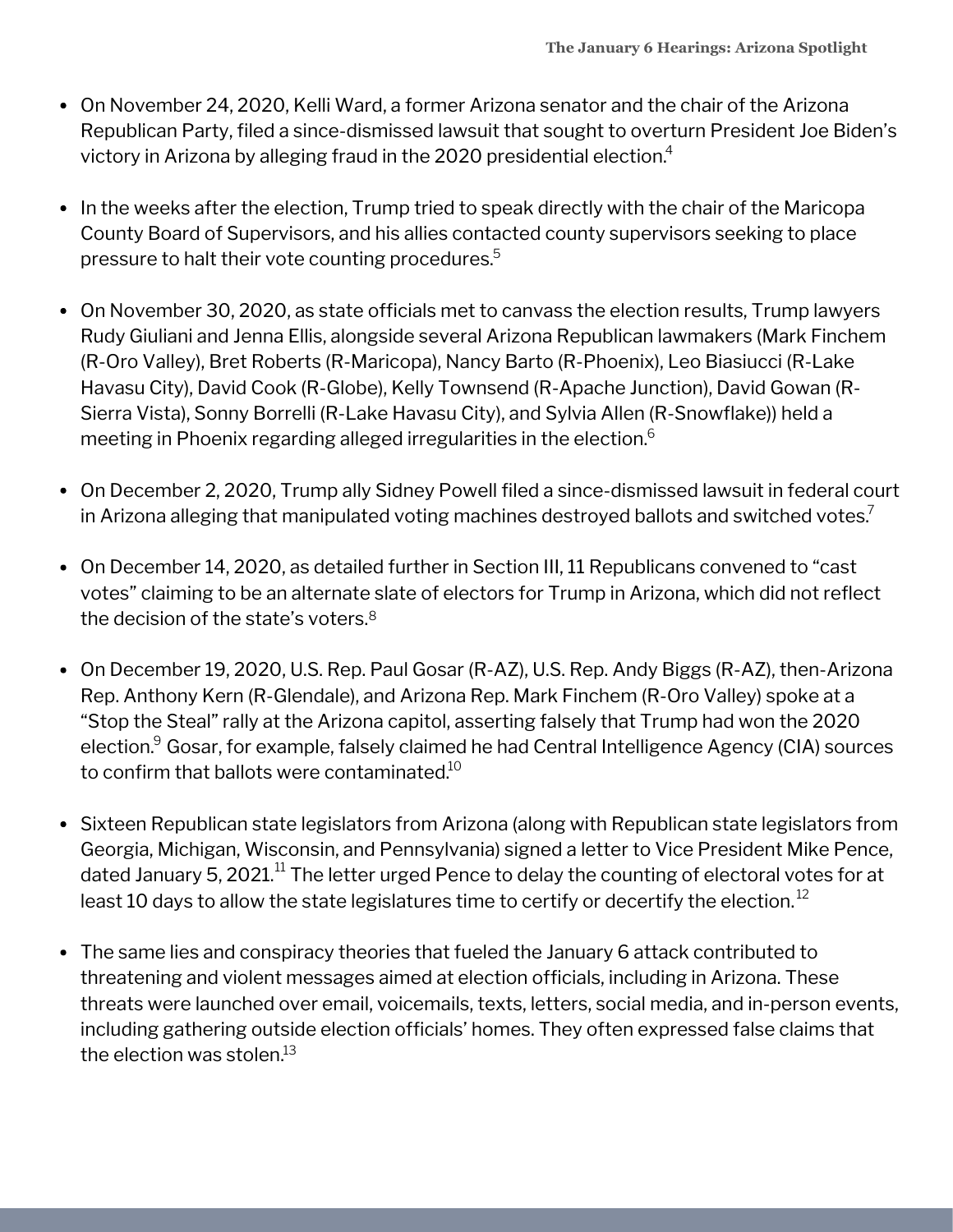- On November 24, 2020, Kelli Ward, a former Arizona senator and the chair of the Arizona Republican Party, filed a since-dismissed lawsuit that sought to overturn President Joe Biden's victory in Arizona by alleging fraud in the 2020 presidential election. $\mathrm{^{4}}$
- In the weeks after the election, Trump tried to speak directly with the chair of the Maricopa County Board of Supervisors, and his allies contacted county supervisors seeking to place pressure to halt their vote counting procedures. 5
- On November 30, 2020, as state officials met to canvass the election results, Trump lawyers Rudy Giuliani and Jenna Ellis, alongside several Arizona Republican lawmakers (Mark Finchem (R-Oro Valley), Bret Roberts (R-Maricopa), Nancy Barto (R-Phoenix), Leo Biasiucci (R-Lake Havasu City), David Cook (R-Globe), Kelly Townsend (R-Apache Junction), David Gowan (R-Sierra Vista), Sonny Borrelli (R-Lake Havasu City), and Sylvia Allen (R-Snowflake)) held a meeting in Phoenix regarding alleged irregularities in the election. $^6\,$
- On December 2, 2020, Trump ally Sidney Powell filed a since-dismissed lawsuit in federal court in Arizona alleging that manipulated voting machines destroyed ballots and switched votes. $\bar{?}$
- On December 14, 2020, as detailed further in Section III, 11 Republicans convened to "cast votes" claiming to be an alternate slate of electors for Trump in Arizona, which did not reflect the decision of the state's voters. $8$
- On December 19, 2020, U.S. Rep. Paul Gosar (R-AZ), U.S. Rep. Andy Biggs (R-AZ), then-Arizona Rep. Anthony Kern (R-Glendale), and Arizona Rep. Mark Finchem (R-Oro Valley) spoke at a "Stop the Steal" rally at the Arizona capitol, asserting falsely that Trump had won the 2020 election.<sup>9</sup> Gosar, for example, falsely claimed he had Central Intelligence Agency (CIA) sources to confirm that ballots were contaminated. $^{\rm 10}$
- Sixteen Republican state legislators from Arizona (along with Republican state legislators from Georgia, Michigan, Wisconsin, and Pennsylvania) signed a letter to Vice President Mike Pence, dated January 5, 2021. $^{\rm 11}$  The letter urged Pence to delay the counting of electoral votes for at least 10 days to allow the state legislatures time to certify or decertify the election. $^{\rm 12}$
- The same lies and conspiracy theories that fueled the January 6 attack contributed to threatening and violent messages aimed at election officials, including in Arizona. These threats were launched over email, voicemails, texts, letters, social media, and in-person events, including gathering outside election officials' homes. They often expressed false claims that the election was stolen. $^{\rm 13}$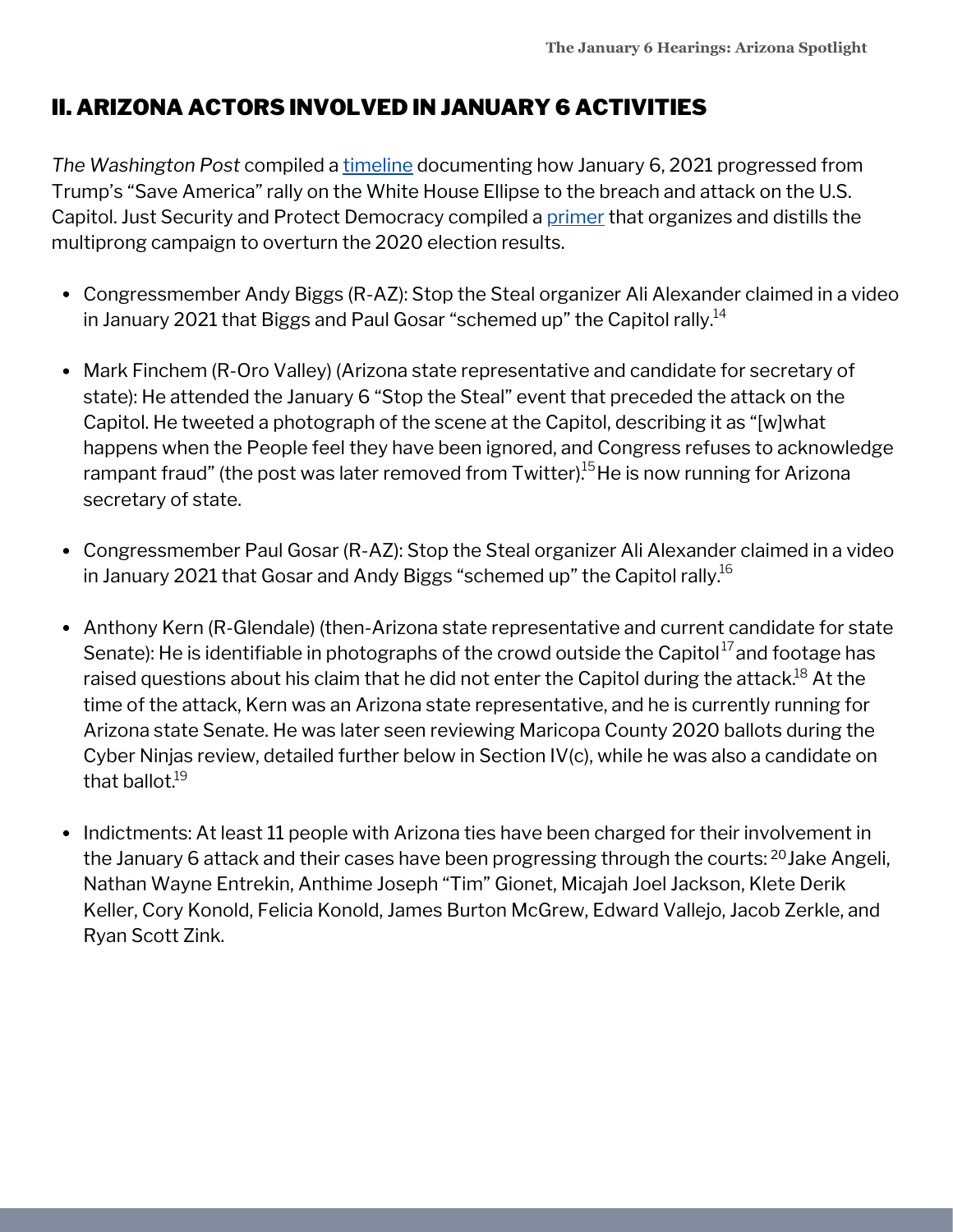## II. ARIZONA ACTORS INVOLVED IN JANUARY 6 ACTIVITIES

*The Washington Post* compiled a [timeline](https://www.washingtonpost.com/nation/interactive/2021/capitol-insurrection-visual-timeline/) documenting how January 6, 2021 progressed from Trump's "Save America" rally on the White House Ellipse to the breach and attack on the U.S. Capitol. Just Security and Protect Democracy compiled a [primer](https://www.justsecurity.org/wp-content/uploads/2022/06/primer-on-january-6th-select-committee-hearings.pdf) that organizes and distills the multiprong campaign to overturn the 2020 election results.

- Congressmember Andy Biggs (R-AZ): Stop the Steal organizer Ali Alexander claimed in a video in January 2021 that Biggs and Paul Gosar "schemed up" the Capitol rally. $^{14}$
- Mark Finchem (R-Oro Valley) (Arizona state representative and candidate for secretary of state): He attended the January 6 "Stop the Steal" event that preceded the attack on the Capitol. He tweeted a photograph of the scene at the Capitol, describing it as "[w]what happens when the People feel they have been ignored, and Congress refuses to acknowledge rampant fraud" (the post was later removed from Twitter).<sup>15</sup> He is now running for Arizona secretary of state.
- Congressmember Paul Gosar (R-AZ): Stop the Steal organizer Ali Alexander claimed in a video in January 2021 that Gosar and Andy Biggs "schemed up" the Capitol rally. $^{16}$
- Anthony Kern (R-Glendale) (then-Arizona state representative and current candidate for state Senate): He is identifiable in photographs of the crowd outside the Capitol $^{17}$ and footage has raised questions about his claim that he did not enter the Capitol during the attack. $^{18}$  At the time of the attack, Kern was an Arizona state representative, and he is currently running for Arizona state Senate. He was later seen reviewing Maricopa County 2020 ballots during the Cyber Ninjas review, detailed further below in Section IV(c), while he was also a candidate on that ballot.<sup>19</sup>
- Indictments: At least 11 people with Arizona ties have been charged for their involvement in the January 6 attack and their cases have been progressing through the courts: <sup>20</sup>Jake Angeli, Nathan Wayne Entrekin, Anthime Joseph "Tim" Gionet, Micajah Joel Jackson, Klete Derik Keller, Cory Konold, Felicia Konold, James Burton McGrew, Edward Vallejo, Jacob Zerkle, and Ryan Scott Zink.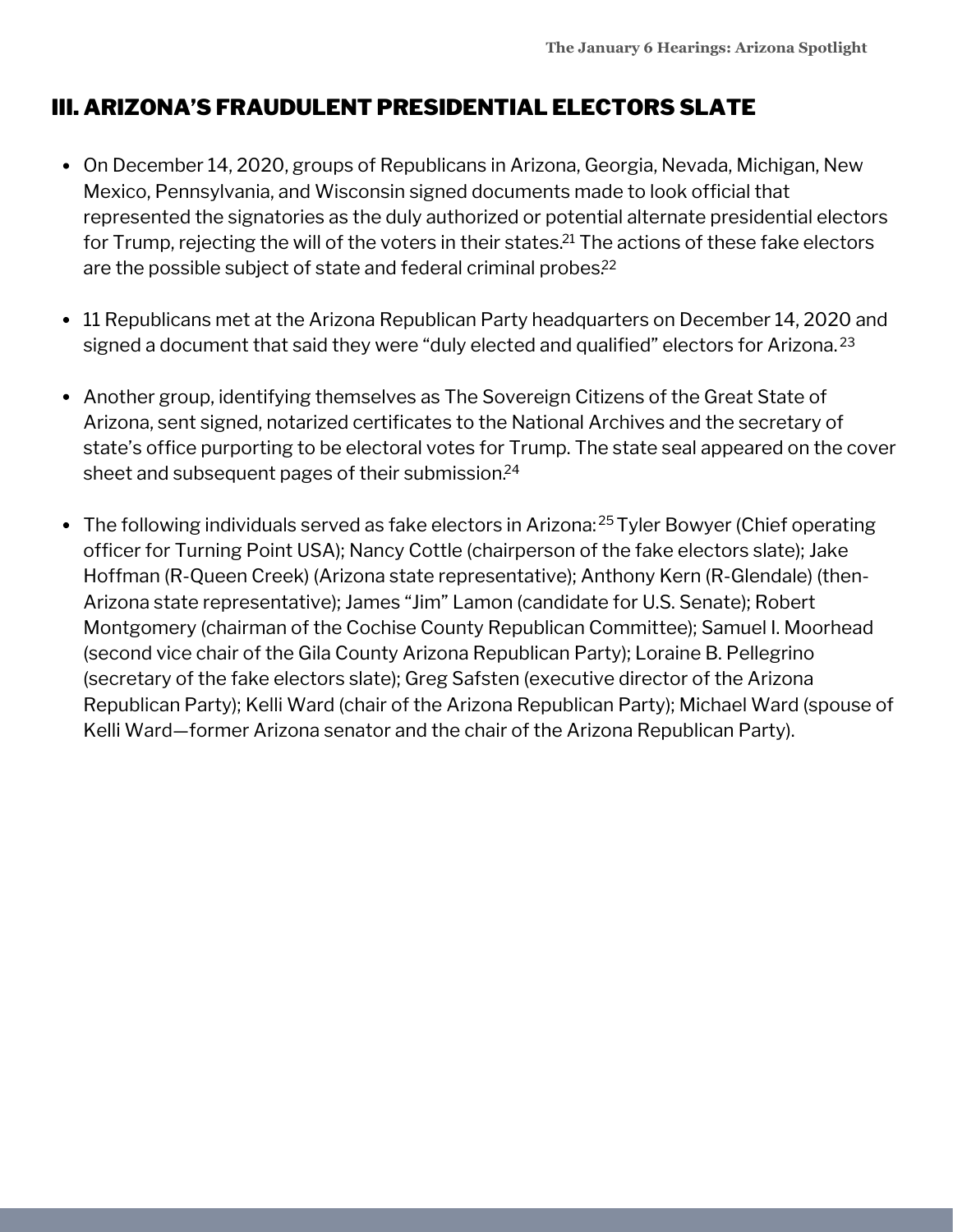## III. ARIZONA'S FRAUDULENT PRESIDENTIAL ELECTORS SLATE

- On December 14, 2020, groups of Republicans in Arizona, Georgia, Nevada, Michigan, New Mexico, Pennsylvania, and Wisconsin signed documents made to look official that represented the signatories as the duly authorized or potential alternate presidential electors for Trump, rejecting the will of the voters in their states. $^{21}$  The actions of these fake electors are the possible subject of state and federal criminal probes. 22
- 11 Republicans met at the Arizona Republican Party headquarters on December 14, 2020 and signed a document that said they were "duly elected and qualified" electors for Arizona. 23
- Another group, identifying themselves as The Sovereign Citizens of the Great State of Arizona, sent signed, notarized certificates to the National Archives and the secretary of state's office purporting to be electoral votes for Trump. The state seal appeared on the cover sheet and subsequent pages of their submission. 24
- The following individuals served as fake electors in Arizona:<sup>25</sup> Tyler Bowyer (Chief operating officer for Turning Point USA); Nancy Cottle (chairperson of the fake electors slate); Jake Hoffman (R-Queen Creek) (Arizona state representative); Anthony Kern (R-Glendale) (then-Arizona state representative); James "Jim" Lamon (candidate for U.S. Senate); Robert Montgomery (chairman of the Cochise County Republican Committee); Samuel I. Moorhead (second vice chair of the Gila County Arizona Republican Party); Loraine B. Pellegrino (secretary of the fake electors slate); Greg Safsten (executive director of the Arizona Republican Party); Kelli Ward (chair of the Arizona Republican Party); Michael Ward (spouse of Kelli Ward—former Arizona senator and the chair of the Arizona Republican Party).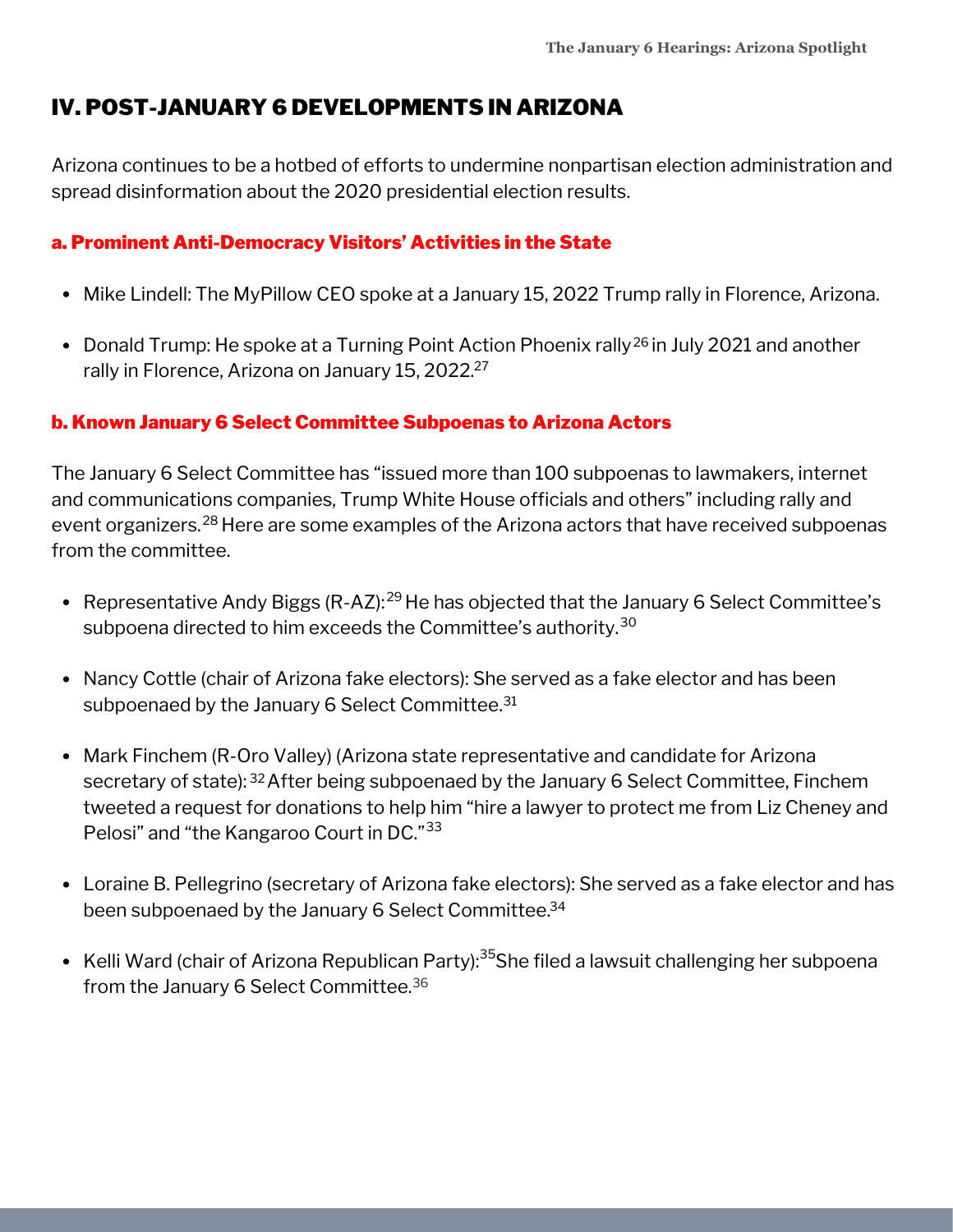### IV. POST-JANUARY 6 DEVELOPMENTS IN ARIZONA

Arizona continues to be a hotbed of efforts to undermine nonpartisan election administration and spread disinformation about the 2020 presidential election results.

#### a. Prominent Anti-Democracy Visitors' Activities in the State

- Mike Lindell: The MyPillow CEO spoke at a January 15, 2022 Trump rally in Florence, Arizona.
- Donald Trump: He spoke at a Turning Point Action Phoenix rally<sup>26</sup> in July 2021 and another rally in Florence, Arizona on January 15, 2022. 27

#### b. Known January 6 Select Committee Subpoenas to Arizona Actors

The January 6 Select Committee has "issued more than 100 subpoenas to lawmakers, internet and communications companies, Trump White House officials and others" including rally and event organizers.<sup>28</sup> Here are some examples of the Arizona actors that have received subpoenas from the committee.

- Representative Andy Biggs (R-AZ):<sup>29</sup> He has objected that the January 6 Select Committee's subpoena directed to him exceeds the Committee's authority.<sup>30</sup>
- Nancy Cottle (chair of Arizona fake electors): She served as a fake elector and has been subpoenaed by the January 6 Select Committee. 31
- Mark Finchem (R-Oro Valley) (Arizona state representative and candidate for Arizona secretary of state): <sup>32</sup> After being subpoenaed by the January 6 Select Committee, Finchem tweeted a request for donations to help him "hire a lawyer to protect me from Liz Cheney and Pelosi" and "the Kangaroo Court in DC."<sup>33</sup>
- Loraine B. Pellegrino (secretary of Arizona fake electors): She served as a fake elector and has been subpoenaed by the January 6 Select Committee. 34
- Kelli Ward (chair of Arizona Republican Party):<sup>35</sup>She filed a lawsuit challenging her subpoena from the January 6 Select Committee. 36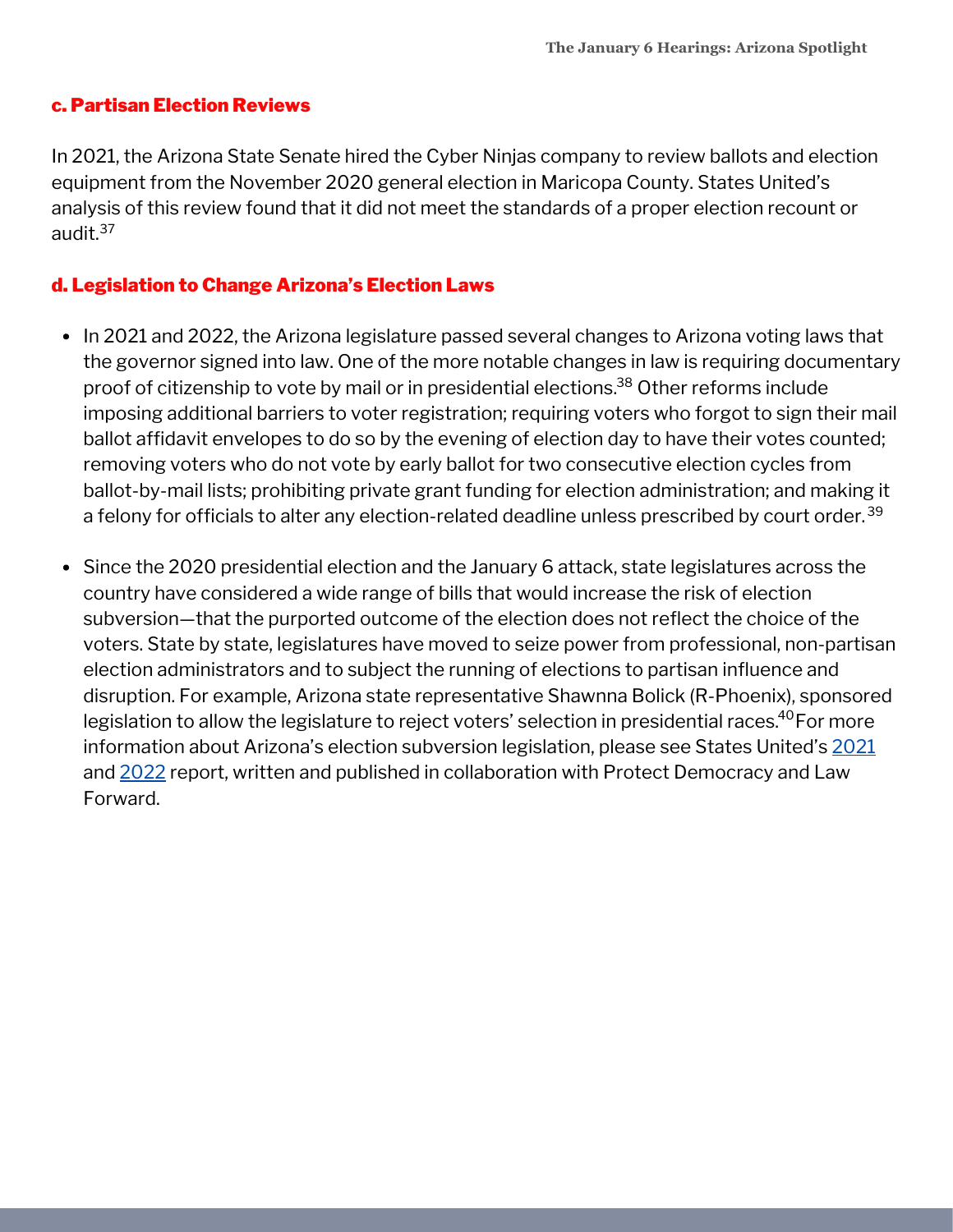#### c. Partisan Election Reviews

In 2021, the Arizona State Senate hired the Cyber Ninjas company to review ballots and election equipment from the November 2020 general election in Maricopa County. States United's analysis of this review found that it did not meet the standards of a proper election recount or audit. 37

#### d. Legislation to Change Arizona's Election Laws

- In 2021 and 2022, the Arizona legislature passed several changes to Arizona voting laws that the governor signed into law. One of the more notable changes in law is requiring documentary proof of citizenship to vote by mail or in presidential elections.<sup>38</sup> Other reforms include imposing additional barriers to voter registration; requiring voters who forgot to sign their mail ballot affidavit envelopes to do so by the evening of election day to have their votes counted; removing voters who do not vote by early ballot for two consecutive election cycles from ballot-by-mail lists; prohibiting private grant funding for election administration; and making it a felony for officials to alter any election-related deadline unless prescribed by court order. 39
- Since the 2020 presidential election and the January 6 attack, state legislatures across the country have considered a wide range of bills that would increase the risk of election subversion—that the purported outcome of the election does not reflect the choice of the voters. State by state, legislatures have moved to seize power from professional, non-partisan election administrators and to subject the running of elections to partisan influence and disruption. For example, Arizona state representative Shawnna Bolick (R-Phoenix), sponsored legislation to allow the legislature to reject voters' selection in presidential races. $^{40}\rm{For}$  more information about Arizona's election subversion legislation, please see States United's [2021](https://statesuniteddemocracy.org/wp-content/uploads/2021/04/FINAL-Democracy-Crisis-Report-April-21.pdf) and [2022](https://statesuniteddemocracy.org/wp-content/uploads/2022/05/DCITM_2022.pdf) report, written and published in collaboration with Protect Democracy and Law Forward.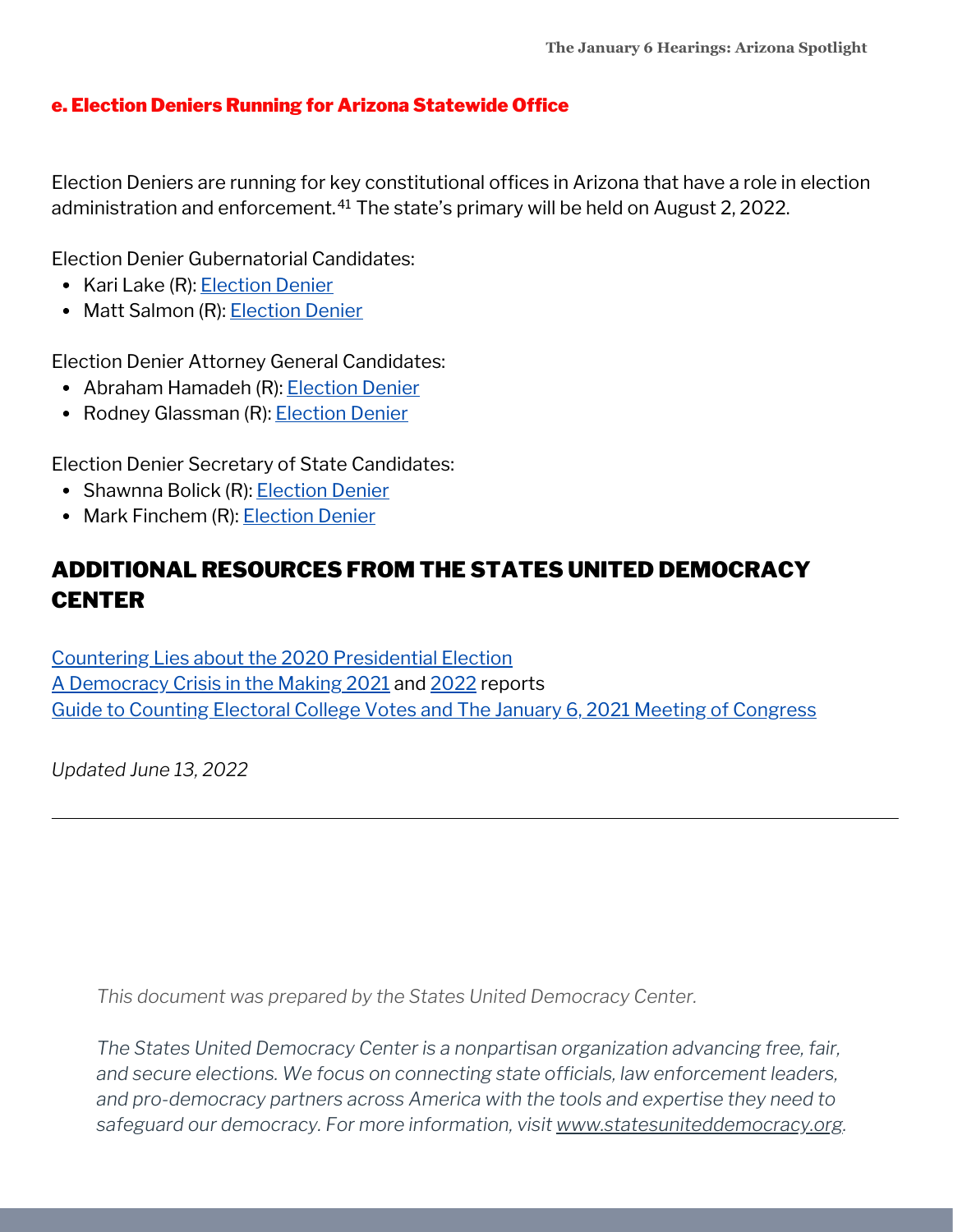#### e. Election Deniers Running for Arizona Statewide Office

Election Deniers are running for key constitutional offices in Arizona that have a role in election administration and enforcement.<sup>41</sup> The state's primary will be held on August 2, 2022.

Election Denier Gubernatorial Candidates:

- Kari Lake (R): [Election](https://statesuniteddemocracy.org/wp-content/uploads/2022/06/gov_deniers.html#45_Arizona_-_Kari_Lake) Denier
- Matt Salmon (R): [Election](https://statesuniteddemocracy.org/wp-content/uploads/2022/06/gov_deniers.html#46_Arizona_-_Matt_Salmon) Denier

Election Denier Attorney General Candidates:

- Abraham Hamadeh (R): [Election](https://statesuniteddemocracy.org/wp-content/uploads/2022/06/ag_deniers.html#42_Arizona_-_Abraham_Hamadeh) Denier
- Rodney Glassman (R): [Election](https://statesuniteddemocracy.org/wp-content/uploads/2022/06/ag_deniers.html#43_Arizona_-_Rodney_Glassman) Denier

Election Denier Secretary of State Candidates:

- Shawnna Bolick (R): [Election](https://statesuniteddemocracy.org/wp-content/uploads/2022/06/sos_deniers.html#42_Arizona_-_Shawnna_Bolick) Denier
- Mark Finchem (R): [Election](https://statesuniteddemocracy.org/wp-content/uploads/2022/06/sos_deniers.html#43_Arizona_-_Mark_Finchem) Denier

## ADDITIONAL RESOURCES FROM THE STATES UNITED DEMOCRACY **CENTER**

Countering Lies about the 2020 [Presidential](https://statesuniteddemocracy.org/wp-content/uploads/2021/01/000A-Myths-and-Facts-of-the-2020-Presidential-Election-20210113-FINAL.pdf) Election A [Democracy](https://statesuniteddemocracy.org/resources/democracy-crisis-in-the-making-how-state-legislatures-are-politicizing-criminalizing-and-interfering-with-elections/) Crisis in the Making [2021](https://statesuniteddemocracy.org/wp-content/uploads/2021/04/FINAL-Democracy-Crisis-Report-April-21.pdf) and [2022](https://statesuniteddemocracy.org/wp-content/uploads/2022/05/DCITM_2022.pdf) reports Guide to Counting Electoral College Votes and The January 6, 2021 Meeting of [Congress](https://statesuniteddemocracy.org/wp-content/uploads/2021/01/VPP-Guide-to-Counting-Electoral-Votes.pdf)

*Updated June 13, 2022*

*This document was prepared by the States United Democracy Center.*

*The States United Democracy Center is a nonpartisan organization advancing free, fair, and secure elections. We focus on connecting state officials, law enforcement leaders, and pro-democracy partners across America with the tools and expertise they need to safeguard our democracy. For more information, visit [www.statesuniteddemocracy.org.](http://www.statesuniteddemocracy.org/)*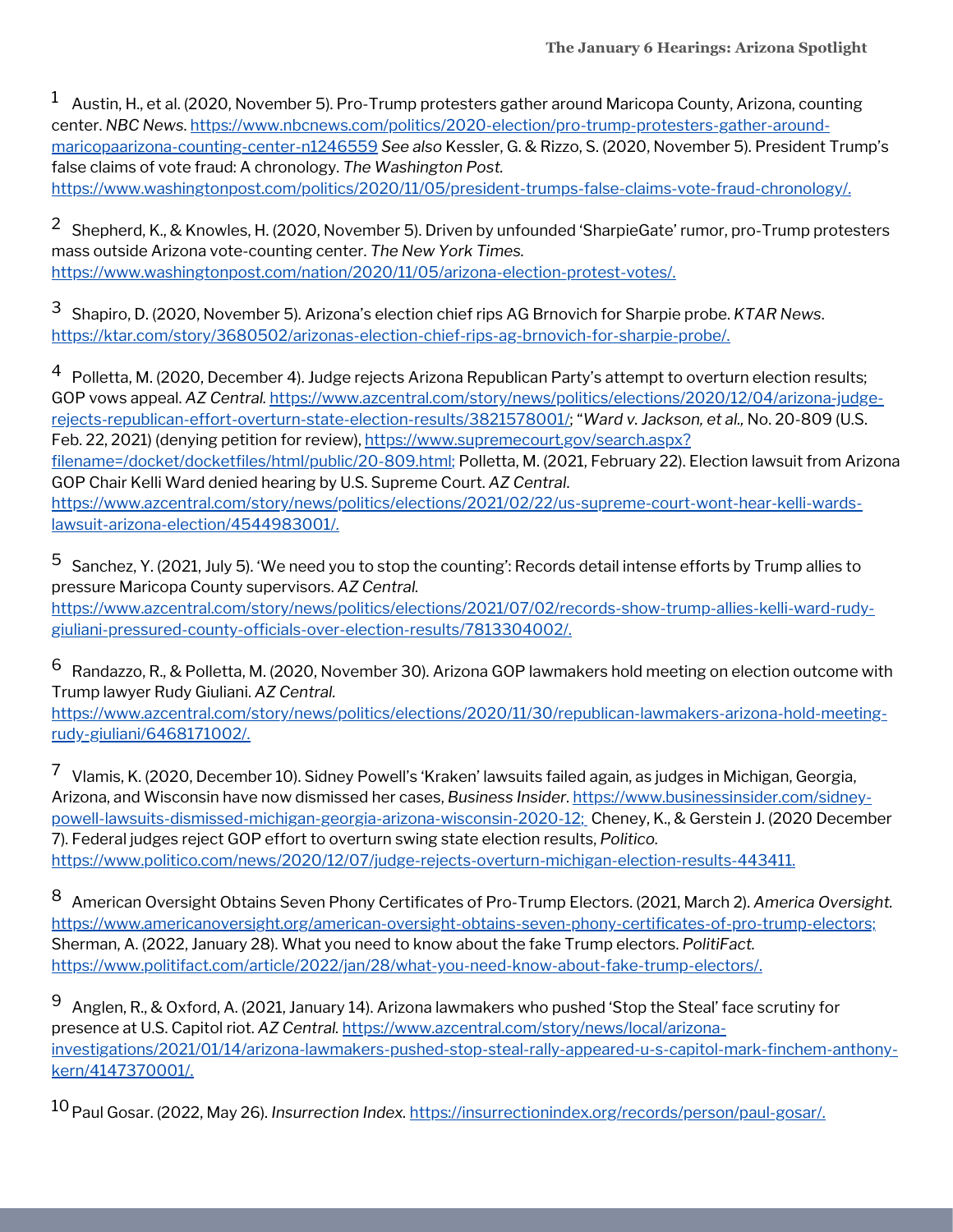$^1~\,$  Austin, H., et al. (2020, November 5). Pro-Trump protesters gather around Maricopa County, Arizona, counting center. *NBC News*. [https://www.nbcnews.com/politics/2020-election/pro-trump-protesters-gather-around](https://www.nbcnews.com/politics/2020-election/pro-trump-protesters-gather-around-maricopaarizona-counting-center-n1246559)maricopaarizona-counting-center-n1246559 *See also* Kessler, G. & Rizzo, S. (2020, November 5). President Trump's false claims of vote fraud: A chronology. *The Washington Post.* <https://www.washingtonpost.com/politics/2020/11/05/president-trumps-false-claims-vote-fraud-chronology/>.

 $^2$  Shepherd, K., & Knowles, H. (2020, November 5). Driven by unfounded 'SharpieGate' rumor, pro-Trump protesters mass outside Arizona vote-counting center. *The New York Times.* <https://www.washingtonpost.com/nation/2020/11/05/arizona-election-protest-votes/>.

Shapiro, D. (2020, November 5). Arizona's election chief rips AG Brnovich for Sharpie probe. *KTAR News*. 3 <https://ktar.com/story/3680502/arizonas-election-chief-rips-ag-brnovich-for-sharpie-probe/>.

 $^4\:$  Polletta, M. (2020, December 4). Judge rejects Arizona Republican Party's attempt to overturn election results; GOP vows appeal. *AZ Central.* [https://www.azcentral.com/story/news/politics/elections/2020/12/04/arizona-judge](https://www.azcentral.com/story/news/politics/elections/2020/12/04/arizona-judge-rejects-republican-effort-overturn-state-election-results/3821578001/)rejects-republican-effort-overturn-state-election-results/3821578001/; "*Ward v. Jackson, et al.,* No. 20-809 (U.S. Feb. 22, 2021) (denying petition for review), https://www.supremecourt.gov/search.aspx? [filename=/docket/docketfiles/html/public/20-809.html;](https://www.supremecourt.gov/search.aspx?filename=/docket/docketfiles/html/public/20-809.html) Polletta, M. (2021, February 22). Election lawsuit from Arizona GOP Chair Kelli Ward denied hearing by U.S. Supreme Court. *AZ Central*. [https://www.azcentral.com/story/news/politics/elections/2021/02/22/us-supreme-court-wont-hear-kelli-wards](https://www.azcentral.com/story/news/politics/elections/2021/02/22/us-supreme-court-wont-hear-kelli-wards-lawsuit-arizona-election/4544983001/)lawsuit-arizona-election/4544983001/.

 $^5\,$  Sanchez, Y. (2021, July 5). 'We need you to stop the counting': Records detail intense efforts by Trump allies to pressure Maricopa County supervisors. *AZ Central.* [https://www.azcentral.com/story/news/politics/elections/2021/07/02/records-show-trump-allies-kelli-ward-rudy](https://www.azcentral.com/story/news/politics/elections/2021/07/02/records-show-trump-allies-kelli-ward-rudy-giuliani-pressured-county-officials-over-election-results/7813304002/)giuliani-pressured-county-officials-over-election-results/7813304002/.

 $^6~$  Randazzo, R., & Polletta, M. (2020, November 30). Arizona GOP lawmakers hold meeting on election outcome with Trump lawyer Rudy Giuliani. *AZ Central.*

[https://www.azcentral.com/story/news/politics/elections/2020/11/30/republican-lawmakers-arizona-hold-meeting](https://www.azcentral.com/story/news/politics/elections/2020/11/30/republican-lawmakers-arizona-hold-meeting-rudy-giuliani/6468171002/)rudy-giuliani/6468171002/.

 $^7$  Vlamis, K. (2020, December 10). Sidney Powell's 'Kraken' lawsuits failed again, as judges in Michigan, Georgia, Arizona, and Wisconsin have now dismissed her cases, *Business Insider*. https://www.businessinsider.com/sidney[powell-lawsuits-dismissed-michigan-georgia-arizona-wisconsin-2020-12;](https://www.businessinsider.com/sidney-powell-lawsuits-dismissed-michigan-georgia-arizona-wisconsin-2020-12) Cheney, K., & Gerstein J. (2020 December 7). Federal judges reject GOP effort to overturn swing state election results, *Politico.* <https://www.politico.com/news/2020/12/07/judge-rejects-overturn-michigan-election-results-443411>.

American Oversight Obtains Seven Phony Certificates of Pro-Trump Electors. (2021, March 2). *America Oversight.* 8 <https://www.americanoversight.org/american-oversight-obtains-seven-phony-certificates-of-pro-trump-electors;> Sherman, A. (2022, January 28). What you need to know about the fake Trump electors. *PolitiFact.* [https://www.politifact.com/article/2022/jan/28/what-you-need-know-about-fake-trump-electors/.](https://www.politifact.com/article/2022/jan/28/what-you-need-know-about-fake-trump-electors/)

 $^{\rm 9}~$  Anglen, R., & Oxford, A. (2021, January 14). Arizona lawmakers who pushed 'Stop the Steal' face scrutiny for presence at U.S. Capitol riot. *AZ Central.* https://www.azcentral.com/story/news/local/arizona[investigations/2021/01/14/arizona-lawmakers-pushed-stop-steal-rally-appeared-u-s-capitol-mark-finchem-anthony](https://www.azcentral.com/story/news/local/arizona-investigations/2021/01/14/arizona-lawmakers-pushed-stop-steal-rally-appeared-u-s-capitol-mark-finchem-anthony-kern/4147370001/)kern/4147370001/.

10 Paul Gosar. (2022, May 26). *Insurrection Index*. <u><https://insurrectionindex.org/records/person/paul-gosar/>.</u>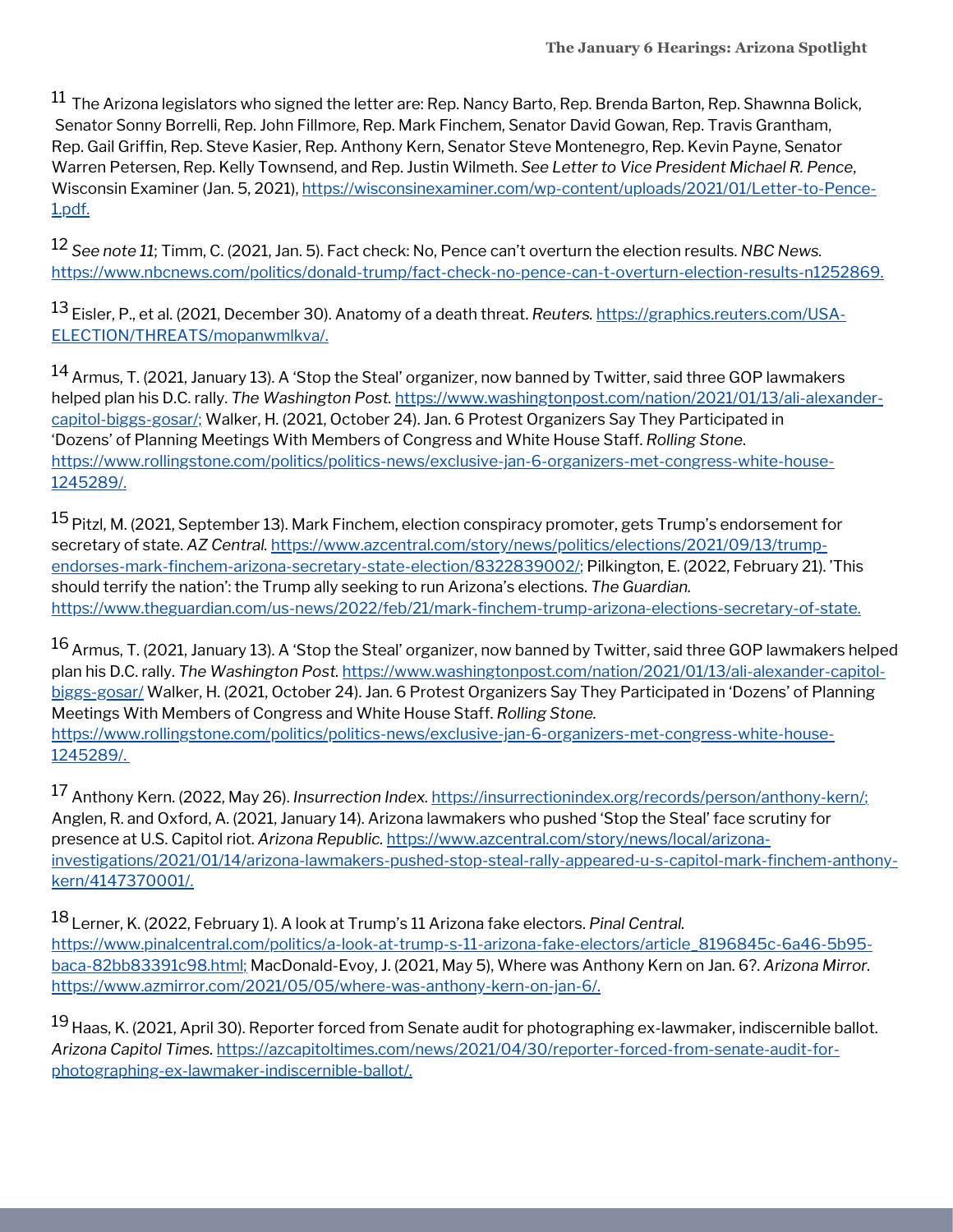$^{11}$  The Arizona legislators who signed the letter are: Rep. Nancy Barto, Rep. Brenda Barton, Rep. Shawnna Bolick, Senator Sonny Borrelli, Rep. John Fillmore, Rep. Mark Finchem, Senator David Gowan, Rep. Travis Grantham, Rep. Gail Griffin, Rep. Steve Kasier, Rep. Anthony Kern, Senator Steve Montenegro, Rep. Kevin Payne, Senator Warren Petersen, Rep. Kelly Townsend, and Rep. Justin Wilmeth. *See Letter to Vice President Michael R. Pence*, Wisconsin Examiner (Jan. 5, 2021), [https://wisconsinexaminer.com/wp-content/uploads/2021/01/Letter-to-Pence-](https://wisconsinexaminer.com/wp-content/uploads/2021/01/Letter-to-Pence-1.pdf)1.pdf.

*See note 11*; Timm, C. (2021, Jan. 5). Fact check: No, Pence can't overturn the election results. *NBC News.* 12 [https://www.nbcnews.com/politics/donald-trump/fact-check-no-pence-can-t-overturn-election-results-n1252869.](https://www.nbcnews.com/politics/donald-trump/fact-check-no-pence-can-t-overturn-election-results-n1252869)

<sup>13</sup> Eisler, P., et al. (2021, December 30). Anatomy of a death threat. *Reuters.* <u>https://graphics.reuters.com/USA-</u> [ELECTION/THREATS/mopanwmlkva/.](https://graphics.reuters.com/USA-ELECTION/THREATS/mopanwmlkva/)

 $^{14}$  Armus, T. (2021, January 13). A 'Stop the Steal' organizer, now banned by Twitter, said three GOP lawmakers helped plan his D.C. rally. *The Washington Post.* [https://www.washingtonpost.com/nation/2021/01/13/ali-alexander](https://www.washingtonpost.com/nation/2021/01/13/ali-alexander-capitol-biggs-gosar/;)capitol-biggs-gosar/; Walker, H. (2021, October 24). Jan. 6 Protest Organizers Say They Participated in 'Dozens' of Planning Meetings With Members of Congress and White House Staff. *Rolling Stone*. [https://www.rollingstone.com/politics/politics-news/exclusive-jan-6-organizers-met-congress-white-house-](https://www.rollingstone.com/politics/politics-news/exclusive-jan-6-organizers-met-congress-white-house-1245289/)1245289/.

 $^{15}$  Pitzl, M. (2021, September 13). Mark Finchem, election conspiracy promoter, gets Trump's endorsement for secretary of state. *AZ Central.* [https://www.azcentral.com/story/news/politics/elections/2021/09/13/trump](https://www.azcentral.com/story/news/politics/elections/2021/09/13/trump-endorses-mark-finchem-arizona-secretary-state-election/8322839002/)endorses-mark-finchem-arizona-secretary-state-election/8322839002/; Pilkington, E. (2022, February 21). 'This should terrify the nation': the Trump ally seeking to run Arizona's elections. *The Guardian.* <https://www.theguardian.com/us-news/2022/feb/21/mark-finchem-trump-arizona-elections-secretary-of-state>.

 $^{16}$  Armus, T. (2021, January 13). A 'Stop the Steal' organizer, now banned by Twitter, said three GOP lawmakers helped plan his D.C. rally. *The Washington Post.* [https://www.washingtonpost.com/nation/2021/01/13/ali-alexander-capitol](https://www.washingtonpost.com/nation/2021/01/13/ali-alexander-capitol-biggs-gosar/)biggs-gosar/ Walker, H. (2021, October 24). Jan. 6 Protest Organizers Say They Participated in 'Dozens' of Planning Meetings With Members of Congress and White House Staff. *Rolling Stone.* [https://www.rollingstone.com/politics/politics-news/exclusive-jan-6-organizers-met-congress-white-house-](https://www.rollingstone.com/politics/politics-news/exclusive-jan-6-organizers-met-congress-white-house-1245289/)1245289/.

17 Anthony Kern. (2022, May 26). *Insurrection Index*. <u>[https://insurrectionindex.org/records/person/anthony-kern/;](https://insurrectionindex.org/records/person/anthony-kern/)</u> Anglen, R. and Oxford, A. (2021, January 14). Arizona lawmakers who pushed 'Stop the Steal' face scrutiny for presence at U.S. Capitol riot. *Arizona Republic.* https://www.azcentral.com/story/news/local/arizona[investigations/2021/01/14/arizona-lawmakers-pushed-stop-steal-rally-appeared-u-s-capitol-mark-finchem-anthony](https://www.azcentral.com/story/news/local/arizona-investigations/2021/01/14/arizona-lawmakers-pushed-stop-steal-rally-appeared-u-s-capitol-mark-finchem-anthony-kern/4147370001/)kern/4147370001/.

Lerner, K. (2022, February 1). A look at Trump's 11 Arizona fake electors. *Pinal Central.* 18 [https://www.pinalcentral.com/politics/a-look-at-trump-s-11-arizona-fake-electors/article\\_8196845c-6a46-5b95](https://www.pinalcentral.com/politics/a-look-at-trump-s-11-arizona-fake-electors/article_8196845c-6a46-5b95-baca-82bb83391c98.html) baca-82bb83391c98.html; MacDonald-Evoy, J. (2021, May 5), Where was Anthony Kern on Jan. 6?. *Arizona Mirror.* [https://www.azmirror.com/2021/05/05/where-was-anthony-kern-on-jan-6/.](https://www.azmirror.com/2021/05/05/where-was-anthony-kern-on-jan-6/)

<sup>19</sup> Haas, K. (2021, April 30). Reporter forced from Senate audit for photographing ex-lawmaker, indiscernible ballot. *Arizona Capitol Times.* [https://azcapitoltimes.com/news/2021/04/30/reporter-forced-from-senate-audit-for](https://azcapitoltimes.com/news/2021/04/30/reporter-forced-from-senate-audit-for-photographing-ex-lawmaker-indiscernible-ballot/)photographing-ex-lawmaker-indiscernible-ballot/.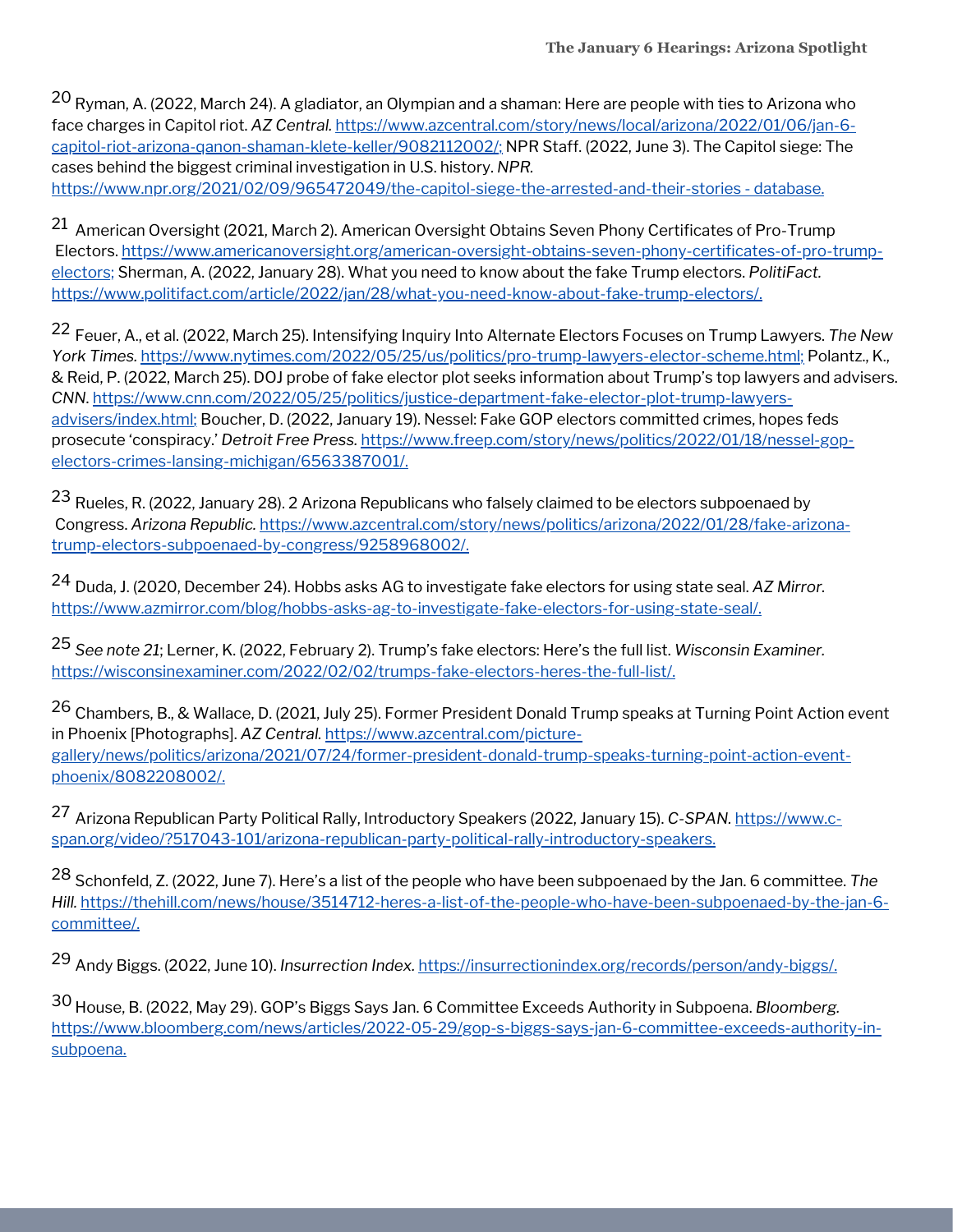<sup>20</sup> Ryman, A. (2022, March 24). A gladiator, an Olympian and a shaman: Here are people with ties to Arizona who face charges in Capitol riot. *AZ Central.* [https://www.azcentral.com/story/news/local/arizona/2022/01/06/jan-6](https://www.azcentral.com/story/news/local/arizona/2022/01/06/jan-6-capitol-riot-arizona-qanon-shaman-klete-keller/9082112002/) capitol-riot-arizona-qanon-shaman-klete-keller/9082112002/; NPR Staff. (2022, June 3). The Capitol siege: The cases behind the biggest criminal investigation in U.S. history. *NPR.* [https://www.npr.org/2021/02/09/965472049/the-capitol-siege-the-arrested-and-their-stories](https://www.npr.org/2021/02/09/965472049/the-capitol-siege-the-arrested-and-their-stories%20-%20database) - database.

 $^{21}$  American Oversight (2021, March 2). American Oversight Obtains Seven Phony Certificates of Pro-Trump Electors. [https://www.americanoversight.org/american-oversight-obtains-seven-phony-certificates-of-pro-trump](https://www.americanoversight.org/american-oversight-obtains-seven-phony-certificates-of-pro-trump-electors;)electors; Sherman, A. (2022, January 28). What you need to know about the fake Trump electors. *PolitiFact.* [https://www.politifact.com/article/2022/jan/28/what-you-need-know-about-fake-trump-electors/.](https://www.politifact.com/article/2022/jan/28/what-you-need-know-about-fake-trump-electors/)

Feuer, A., et al. (2022, March 25). Intensifying Inquiry Into Alternate Electors Focuses on Trump Lawyers. *The New* 22 *York Times.* [https://www.nytimes.com/2022/05/25/us/politics/pro-trump-lawyers-elector-scheme.html;](https://www.nytimes.com/2022/05/25/us/politics/pro-trump-lawyers-elector-scheme.html) Polantz., K., & Reid, P. (2022, March 25). DOJ probe of fake elector plot seeks information about Trump's top lawyers and advisers. *CNN*. [https://www.cnn.com/2022/05/25/politics/justice-department-fake-elector-plot-trump-lawyers](https://www.cnn.com/2022/05/25/politics/justice-department-fake-elector-plot-trump-lawyers-advisers/index.html)advisers/index.html; Boucher, D. (2022, January 19). Nessel: Fake GOP electors committed crimes, hopes feds prosecute 'conspiracy.' *Detroit Free Press.* [https://www.freep.com/story/news/politics/2022/01/18/nessel-gop](https://www.freep.com/story/news/politics/2022/01/18/nessel-gop-electors-crimes-lansing-michigan/6563387001/)electors-crimes-lansing-michigan/6563387001/.

 $^{23}$  Rueles, R. (2022, January 28). 2 Arizona Republicans who falsely claimed to be electors subpoenaed by Congress. *Arizona Republic.* [https://www.azcentral.com/story/news/politics/arizona/2022/01/28/fake-arizona](https://www.azcentral.com/story/news/politics/arizona/2022/01/28/fake-arizona-trump-electors-subpoenaed-by-congress/9258968002/)trump-electors-subpoenaed-by-congress/9258968002/.

Duda, J. (2020, December 24). Hobbs asks AG to investigate fake electors for using state seal. *AZ Mirror.* 24 [https://www.azmirror.com/blog/hobbs-asks-ag-to-investigate-fake-electors-for-using-state-seal/.](https://www.azmirror.com/blog/hobbs-asks-ag-to-investigate-fake-electors-for-using-state-seal/)

*See note 21*; Lerner, K. (2022, February 2). Trump's fake electors: Here's the full list. *Wisconsin Examiner.* 25 <https://wisconsinexaminer.com/2022/02/02/trumps-fake-electors-heres-the-full-list/>.

<sup>26</sup> Chambers, B., & Wallace, D. (2021, July 25). Former President Donald Trump speaks at Turning Point Action event in Phoenix [Photographs]. *AZ Central.* https://www.azcentral.com/picture[gallery/news/politics/arizona/2021/07/24/former-president-donald-trump-speaks-turning-point-action-event](https://www.azcentral.com/picture-gallery/news/politics/arizona/2021/07/24/former-president-donald-trump-speaks-turning-point-action-event-phoenix/8082208002/)phoenix/8082208002/.

<sup>27</sup> Arizona Republican Party Political Rally, Introductory Speakers (2022, January 15). *C-SPAN*. <u>https://www.c-</u> [span.org/video/?517043-101/arizona-republican-party-political-rally-introductory-speakers.](https://www.c-span.org/video/?517043-101/arizona-republican-party-political-rally-introductory-speakers)

<sup>28</sup> Schonfeld, Z. (2022, June 7). Here's a list of the people who have been subpoenaed by the Jan. 6 committee. The *Hill.* [https://thehill.com/news/house/3514712-heres-a-list-of-the-people-who-have-been-subpoenaed-by-the-jan-6](https://thehill.com/news/house/3514712-heres-a-list-of-the-people-who-have-been-subpoenaed-by-the-jan-6-committee/) committee/.

Andy Biggs. (2022, June 10). *Insurrection Index.* <https://insurrectionindex.org/records/person/andy-biggs/>. 29

House, B. (2022, May 29). GOP's Biggs Says Jan. 6 Committee Exceeds Authority in Subpoena. *Bloomberg.* 30[https://www.bloomberg.com/news/articles/2022-05-29/gop-s-biggs-says-jan-6-committee-exceeds-authority-in](https://www.bloomberg.com/news/articles/2022-05-29/gop-s-biggs-says-jan-6-committee-exceeds-authority-in-subpoena)subpoena.